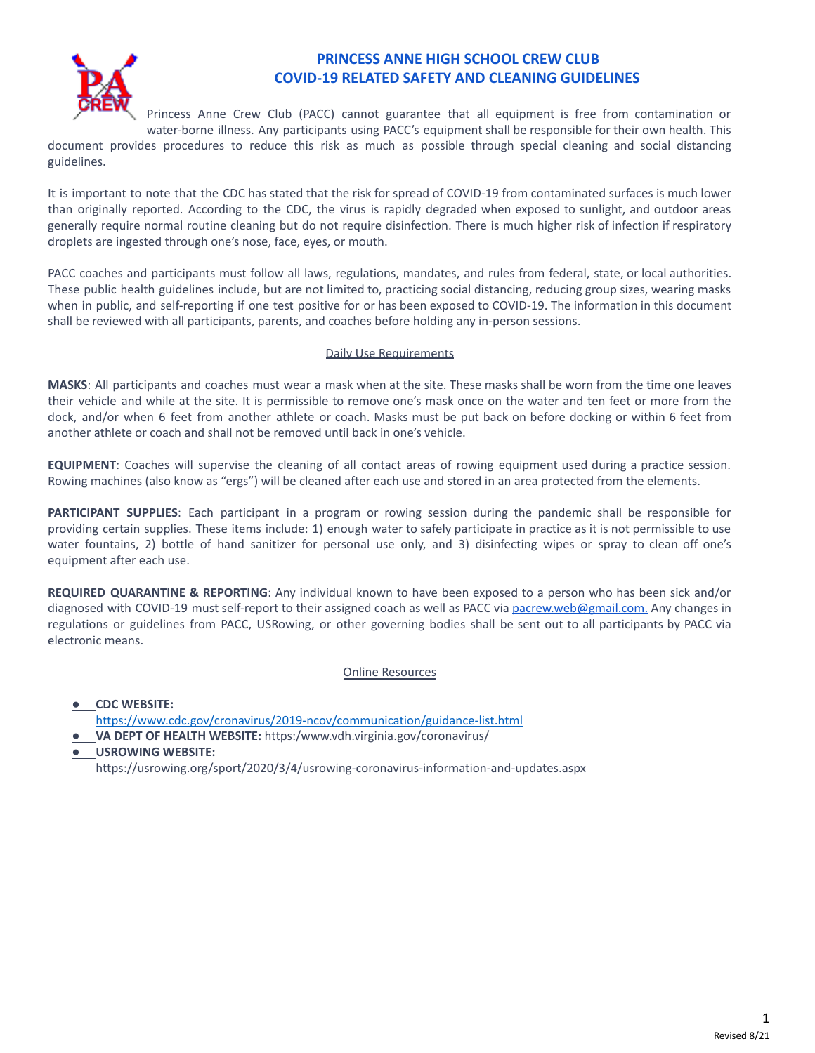

## **PRINCESS ANNE HIGH SCHOOL CREW CLUB COVID-19 RELATED SAFETY AND CLEANING GUIDELINES**

Princess Anne Crew Club (PACC) cannot guarantee that all equipment is free from contamination or water-borne illness. Any participants using PACC's equipment shall be responsible for their own health. This

document provides procedures to reduce this risk as much as possible through special cleaning and social distancing guidelines.

It is important to note that the CDC has stated that the risk for spread of COVID-19 from contaminated surfaces is much lower than originally reported. According to the CDC, the virus is rapidly degraded when exposed to sunlight, and outdoor areas generally require normal routine cleaning but do not require disinfection. There is much higher risk of infection if respiratory droplets are ingested through one's nose, face, eyes, or mouth.

PACC coaches and participants must follow all laws, regulations, mandates, and rules from federal, state, or local authorities. These public health guidelines include, but are not limited to, practicing social distancing, reducing group sizes, wearing masks when in public, and self-reporting if one test positive for or has been exposed to COVID-19. The information in this document shall be reviewed with all participants, parents, and coaches before holding any in-person sessions.

## Daily Use Requirements

**MASKS**: All participants and coaches must wear a mask when at the site. These masks shall be worn from the time one leaves their vehicle and while at the site. It is permissible to remove one's mask once on the water and ten feet or more from the dock, and/or when 6 feet from another athlete or coach. Masks must be put back on before docking or within 6 feet from another athlete or coach and shall not be removed until back in one's vehicle.

**EQUIPMENT**: Coaches will supervise the cleaning of all contact areas of rowing equipment used during a practice session. Rowing machines (also know as "ergs") will be cleaned after each use and stored in an area protected from the elements.

**PARTICIPANT SUPPLIES**: Each participant in a program or rowing session during the pandemic shall be responsible for providing certain supplies. These items include: 1) enough water to safely participate in practice as it is not permissible to use water fountains, 2) bottle of hand sanitizer for personal use only, and 3) disinfecting wipes or spray to clean off one's equipment after each use.

**REQUIRED QUARANTINE & REPORTING**: Any individual known to have been exposed to a person who has been sick and/or diagnosed with COVID-19 must self-report to their assigned coach as well as PACC via [pacrew.web@gmail.com.](mailto:pacrew.web@gmail.com) Any changes in regulations or guidelines from PACC, USRowing, or other governing bodies shall be sent out to all participants by PACC via electronic means.

Online Resources

● **CDC WEBSITE:**

- <https://www.cdc.gov/cronavirus/2019-ncov/communication/guidance-list.html>
- **VA DEPT OF HEALTH WEBSITE:** https:/www.vdh.virginia.gov/coronavirus/
- **USROWING WEBSITE:**

https://usrowing.org/sport/2020/3/4/usrowing-coronavirus-information-and-updates.aspx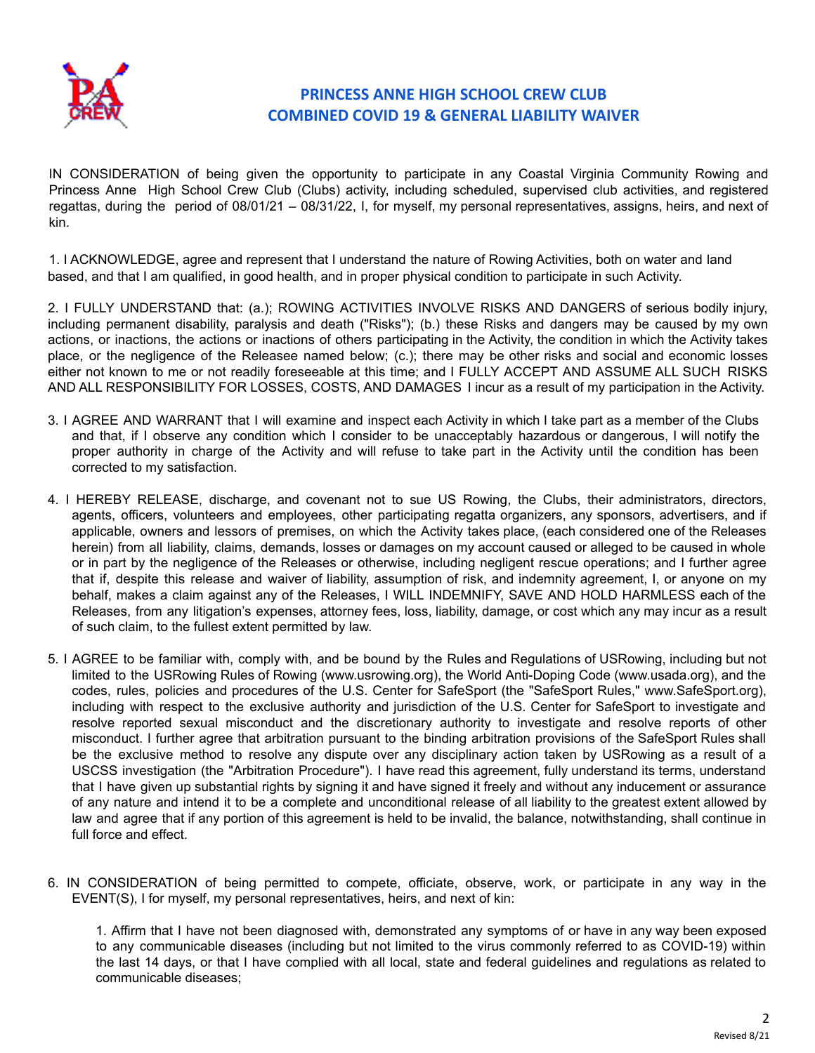

## **PRINCESS ANNE HIGH SCHOOL CREW CLUB COMBINED COVID 19 & GENERAL LIABILITY WAIVER**

IN CONSIDERATION of being given the opportunity to participate in any Coastal Virginia Community Rowing and Princess Anne High School Crew Club (Clubs) activity, including scheduled, supervised club activities, and registered regattas, during the period of 08/01/21 – 08/31/22, I, for myself, my personal representatives, assigns, heirs, and next of kin.

1. I ACKNOWLEDGE, agree and represent that I understand the nature of Rowing Activities, both on water and land based, and that I am qualified, in good health, and in proper physical condition to participate in such Activity.

2. I FULLY UNDERSTAND that: (a.); ROWING ACTIVITIES INVOLVE RISKS AND DANGERS of serious bodily injury, including permanent disability, paralysis and death ("Risks"); (b.) these Risks and dangers may be caused by my own actions, or inactions, the actions or inactions of others participating in the Activity, the condition in which the Activity takes place, or the negligence of the Releasee named below; (c.); there may be other risks and social and economic losses either not known to me or not readily foreseeable at this time; and I FULLY ACCEPT AND ASSUME ALL SUCH RISKS AND ALL RESPONSIBILITY FOR LOSSES, COSTS, AND DAMAGES I incur as a result of my participation in the Activity.

- 3. I AGREE AND WARRANT that I will examine and inspect each Activity in which I take part as a member of the Clubs and that, if I observe any condition which I consider to be unacceptably hazardous or dangerous, I will notify the proper authority in charge of the Activity and will refuse to take part in the Activity until the condition has been corrected to my satisfaction.
- 4. I HEREBY RELEASE, discharge, and covenant not to sue US Rowing, the Clubs, their administrators, directors, agents, officers, volunteers and employees, other participating regatta organizers, any sponsors, advertisers, and if applicable, owners and lessors of premises, on which the Activity takes place, (each considered one of the Releases herein) from all liability, claims, demands, losses or damages on my account caused or alleged to be caused in whole or in part by the negligence of the Releases or otherwise, including negligent rescue operations; and I further agree that if, despite this release and waiver of liability, assumption of risk, and indemnity agreement, I, or anyone on my behalf, makes a claim against any of the Releases, I WILL INDEMNIFY, SAVE AND HOLD HARMLESS each of the Releases, from any litigation's expenses, attorney fees, loss, liability, damage, or cost which any may incur as a result of such claim, to the fullest extent permitted by law.
- 5. I AGREE to be familiar with, comply with, and be bound by the Rules and Regulations of USRowing, including but not limited to the USRowing Rules of Rowing (www.usrowing.org), the World Anti-Doping Code (www.usada.org), and the codes, rules, policies and procedures of the U.S. Center for SafeSport (the "SafeSport Rules," www.SafeSport.org), including with respect to the exclusive authority and jurisdiction of the U.S. Center for SafeSport to investigate and resolve reported sexual misconduct and the discretionary authority to investigate and resolve reports of other misconduct. I further agree that arbitration pursuant to the binding arbitration provisions of the SafeSport Rules shall be the exclusive method to resolve any dispute over any disciplinary action taken by USRowing as a result of a USCSS investigation (the "Arbitration Procedure"). I have read this agreement, fully understand its terms, understand that I have given up substantial rights by signing it and have signed it freely and without any inducement or assurance of any nature and intend it to be a complete and unconditional release of all liability to the greatest extent allowed by law and agree that if any portion of this agreement is held to be invalid, the balance, notwithstanding, shall continue in full force and effect.
- 6. IN CONSIDERATION of being permitted to compete, officiate, observe, work, or participate in any way in the EVENT(S), I for myself, my personal representatives, heirs, and next of kin:

1. Affirm that I have not been diagnosed with, demonstrated any symptoms of or have in any way been exposed to any communicable diseases (including but not limited to the virus commonly referred to as COVID-19) within the last 14 days, or that I have complied with all local, state and federal guidelines and regulations as related to communicable diseases;